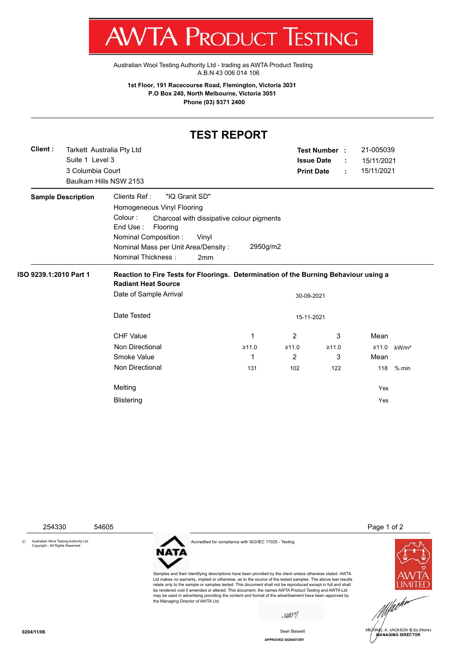T W VIA E RUDUCT IESHINU

[Australian Wool Testing Authority Ltd - trading as AWTA Product Testing](http://www.awtaproducttesting.com.au/) A.B.N 43 006 014 106

**1st Floor, 191 Racecourse Road, Flemington, Victoria 3031 P.O Box 240, North Melbourne, Victoria 3051 Phone (03) 9371 2400**

## **TEST REPORT**

| 3 Columbia Court<br>Baulkam Hills NSW 2153                                                                                                                                                                                                                                            | <b>Print Date</b>                                                                    |       | 15/11/2021 |                   |  |  |  |  |
|---------------------------------------------------------------------------------------------------------------------------------------------------------------------------------------------------------------------------------------------------------------------------------------|--------------------------------------------------------------------------------------|-------|------------|-------------------|--|--|--|--|
|                                                                                                                                                                                                                                                                                       |                                                                                      | ÷     | 15/11/2021 |                   |  |  |  |  |
| Clients Ref:<br><b>Sample Description</b><br>"IQ Granit SD"<br>Homogeneous Vinyl Flooring<br>Colour:<br>Charcoal with dissipative colour pigments<br>End Use:<br>Flooring<br><b>Nominal Composition:</b><br>Vinyl<br>Nominal Mass per Unit Area/Density:<br>Nominal Thickness:<br>2mm | 2950g/m2                                                                             |       |            |                   |  |  |  |  |
| ISO 9239.1:2010 Part 1<br><b>Radiant Heat Source</b>                                                                                                                                                                                                                                  | Reaction to Fire Tests for Floorings. Determination of the Burning Behaviour using a |       |            |                   |  |  |  |  |
| Date of Sample Arrival                                                                                                                                                                                                                                                                | 30-09-2021                                                                           |       |            |                   |  |  |  |  |
| Date Tested                                                                                                                                                                                                                                                                           | 15-11-2021                                                                           |       |            |                   |  |  |  |  |
|                                                                                                                                                                                                                                                                                       |                                                                                      |       |            |                   |  |  |  |  |
| <b>CHF Value</b><br>1                                                                                                                                                                                                                                                                 | $\overline{2}$                                                                       | 3     | Mean       |                   |  |  |  |  |
| Non Directional<br>≥11.0                                                                                                                                                                                                                                                              | ≥11.0                                                                                | ≥11.0 | ≥11.0      | kW/m <sup>2</sup> |  |  |  |  |
| Smoke Value<br>1                                                                                                                                                                                                                                                                      | 2                                                                                    | 3     | Mean       |                   |  |  |  |  |
| Non Directional<br>131                                                                                                                                                                                                                                                                | 102                                                                                  | 122   | 118        | $%$ .min          |  |  |  |  |
| Melting                                                                                                                                                                                                                                                                               |                                                                                      |       | Yes        |                   |  |  |  |  |



**APPROVED SIGNATORY** Sean Bassett

MANAGING DIRECTOR